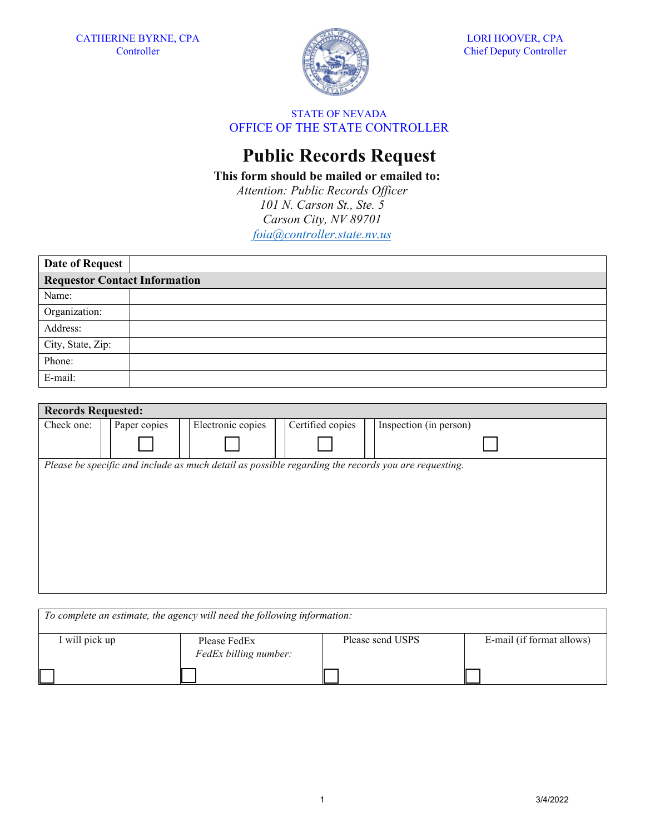

LORI HOOVER, CPA Chief Deputy Controller

## STATE OF NEVADA OFFICE OF THE STATE CONTROLLER

## **Public Records Request**

## **This form should be mailed or emailed to:**

*Attention: Public Records Officer 101 N. Carson St., Ste. 5 Carson City, NV 89701 [foia@controller.state.nv.us](mailto:ask@nevadatreasurer.gov)*

| <b>Date of Request</b>               |  |  |  |  |  |
|--------------------------------------|--|--|--|--|--|
| <b>Requestor Contact Information</b> |  |  |  |  |  |
| Name:                                |  |  |  |  |  |
| Organization:                        |  |  |  |  |  |
| Address:                             |  |  |  |  |  |
| City, State, Zip:                    |  |  |  |  |  |
| Phone:                               |  |  |  |  |  |
| E-mail:                              |  |  |  |  |  |

| <b>Records Requested:</b> |  |              |                                                                                                     |  |                  |  |                        |
|---------------------------|--|--------------|-----------------------------------------------------------------------------------------------------|--|------------------|--|------------------------|
| Check one:                |  | Paper copies | Electronic copies                                                                                   |  | Certified copies |  | Inspection (in person) |
|                           |  |              |                                                                                                     |  |                  |  |                        |
|                           |  |              | Please be specific and include as much detail as possible regarding the records you are requesting. |  |                  |  |                        |
|                           |  |              |                                                                                                     |  |                  |  |                        |
|                           |  |              |                                                                                                     |  |                  |  |                        |
|                           |  |              |                                                                                                     |  |                  |  |                        |
|                           |  |              |                                                                                                     |  |                  |  |                        |
|                           |  |              |                                                                                                     |  |                  |  |                        |
|                           |  |              |                                                                                                     |  |                  |  |                        |
|                           |  |              |                                                                                                     |  |                  |  |                        |
|                           |  |              |                                                                                                     |  |                  |  |                        |
|                           |  |              |                                                                                                     |  |                  |  |                        |

| To complete an estimate, the agency will need the following information: |                                       |                  |                           |  |  |  |  |
|--------------------------------------------------------------------------|---------------------------------------|------------------|---------------------------|--|--|--|--|
| I will pick up                                                           | Please FedEx<br>FedEx billing number: | Please send USPS | E-mail (if format allows) |  |  |  |  |
|                                                                          |                                       |                  |                           |  |  |  |  |